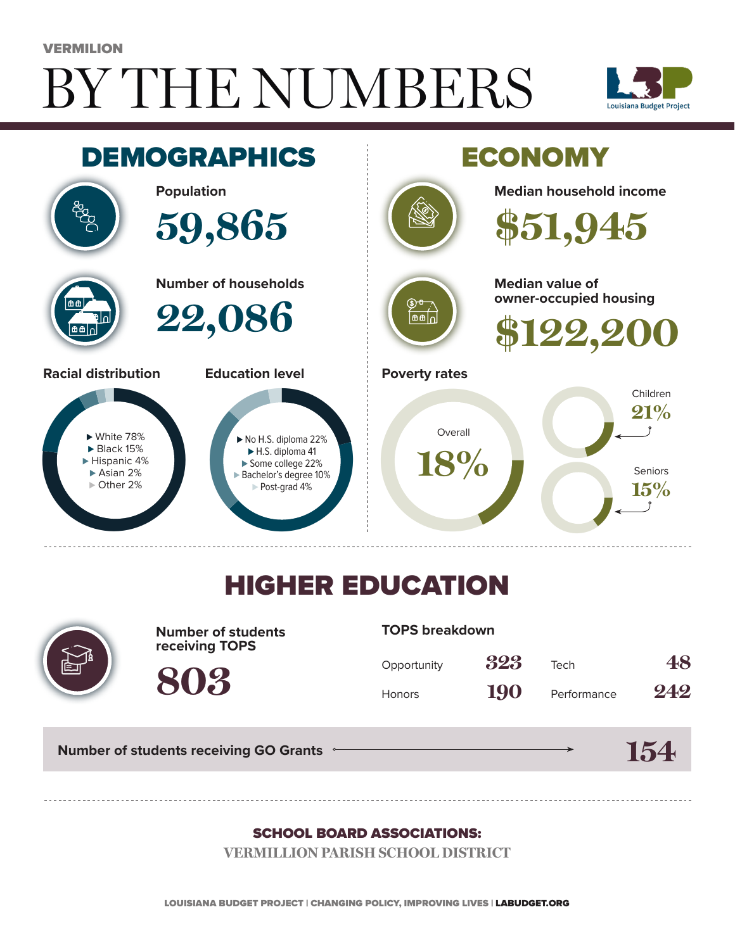# BY THE NUMBERS VERMILION





## HIGHER EDUCATION



**Number of students receiving TOPS**

#### **TOPS breakdown**

| Opportunity   | 323 | Tech        | 48  |
|---------------|-----|-------------|-----|
| <b>Honors</b> | 190 | Performance | 242 |

**154**

**Number of students receiving GO Grants**

**803**

#### SCHOOL BOARD ASSOCIATIONS:

**VERMILLION PARISH SCHOOL DISTRICT**